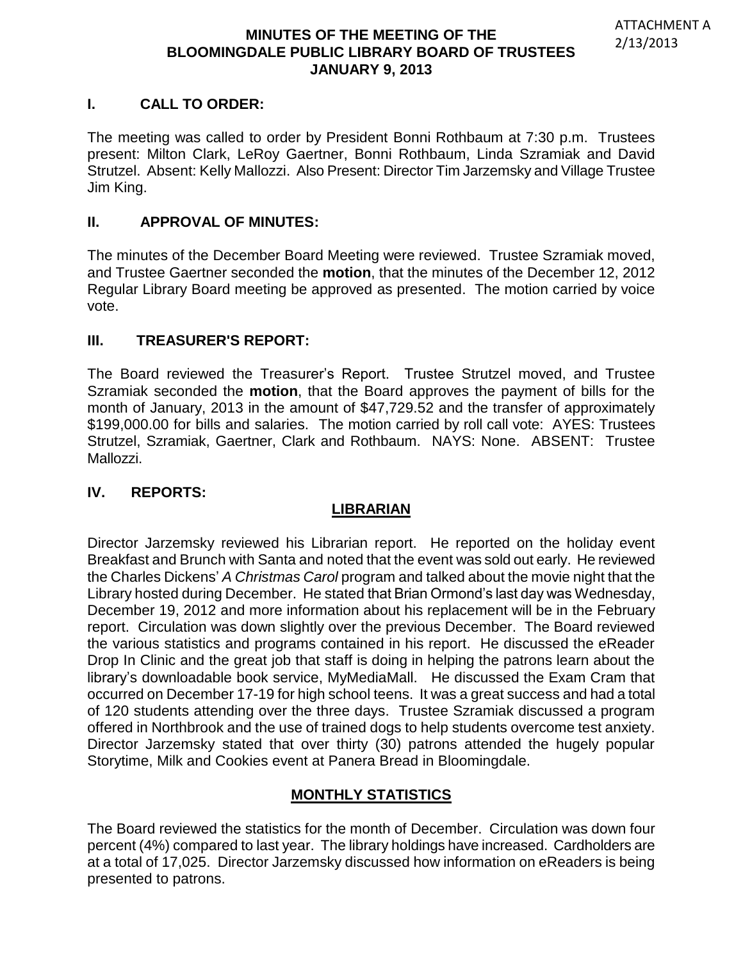## **I. CALL TO ORDER:**

The meeting was called to order by President Bonni Rothbaum at 7:30 p.m. Trustees present: Milton Clark, LeRoy Gaertner, Bonni Rothbaum, Linda Szramiak and David Strutzel. Absent: Kelly Mallozzi. Also Present: Director Tim Jarzemsky and Village Trustee Jim King.

### **II. APPROVAL OF MINUTES:**

The minutes of the December Board Meeting were reviewed. Trustee Szramiak moved, and Trustee Gaertner seconded the **motion**, that the minutes of the December 12, 2012 Regular Library Board meeting be approved as presented. The motion carried by voice vote.

## **III. TREASURER'S REPORT:**

The Board reviewed the Treasurer's Report. Trustee Strutzel moved, and Trustee Szramiak seconded the **motion**, that the Board approves the payment of bills for the month of January, 2013 in the amount of \$47,729.52 and the transfer of approximately \$199,000.00 for bills and salaries. The motion carried by roll call vote: AYES: Trustees Strutzel, Szramiak, Gaertner, Clark and Rothbaum. NAYS: None. ABSENT: Trustee Mallozzi.

#### **IV. REPORTS:**

## **LIBRARIAN**

Director Jarzemsky reviewed his Librarian report. He reported on the holiday event Breakfast and Brunch with Santa and noted that the event was sold out early. He reviewed the Charles Dickens' *A Christmas Carol* program and talked about the movie night that the Library hosted during December. He stated that Brian Ormond's last day was Wednesday, December 19, 2012 and more information about his replacement will be in the February report. Circulation was down slightly over the previous December. The Board reviewed the various statistics and programs contained in his report. He discussed the eReader Drop In Clinic and the great job that staff is doing in helping the patrons learn about the library's downloadable book service, MyMediaMall. He discussed the Exam Cram that occurred on December 17-19 for high school teens. It was a great success and had a total of 120 students attending over the three days. Trustee Szramiak discussed a program offered in Northbrook and the use of trained dogs to help students overcome test anxiety. Director Jarzemsky stated that over thirty (30) patrons attended the hugely popular Storytime, Milk and Cookies event at Panera Bread in Bloomingdale.

## **MONTHLY STATISTICS**

The Board reviewed the statistics for the month of December. Circulation was down four percent (4%) compared to last year. The library holdings have increased. Cardholders are at a total of 17,025. Director Jarzemsky discussed how information on eReaders is being presented to patrons.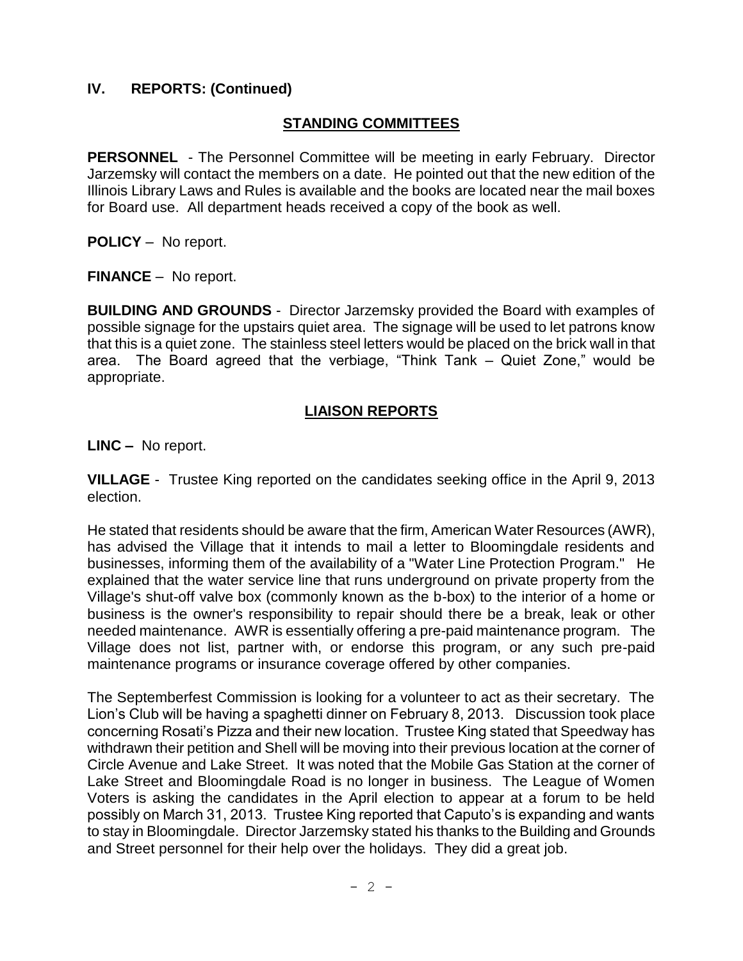## **IV. REPORTS: (Continued)**

### **STANDING COMMITTEES**

**PERSONNEL** - The Personnel Committee will be meeting in early February. Director Jarzemsky will contact the members on a date. He pointed out that the new edition of the Illinois Library Laws and Rules is available and the books are located near the mail boxes for Board use. All department heads received a copy of the book as well.

**POLICY** – No report.

**FINANCE** – No report.

**BUILDING AND GROUNDS** - Director Jarzemsky provided the Board with examples of possible signage for the upstairs quiet area. The signage will be used to let patrons know that this is a quiet zone. The stainless steel letters would be placed on the brick wall in that area. The Board agreed that the verbiage, "Think Tank – Quiet Zone," would be appropriate.

## **LIAISON REPORTS**

**LINC –** No report.

**VILLAGE** - Trustee King reported on the candidates seeking office in the April 9, 2013 election.

He stated that residents should be aware that the firm, American Water Resources (AWR), has advised the Village that it intends to mail a letter to Bloomingdale residents and businesses, informing them of the availability of a "Water Line Protection Program." He explained that the water service line that runs underground on private property from the Village's shut-off valve box (commonly known as the b-box) to the interior of a home or business is the owner's responsibility to repair should there be a break, leak or other needed maintenance. AWR is essentially offering a pre-paid maintenance program. The Village does not list, partner with, or endorse this program, or any such pre-paid maintenance programs or insurance coverage offered by other companies.

The Septemberfest Commission is looking for a volunteer to act as their secretary. The Lion's Club will be having a spaghetti dinner on February 8, 2013. Discussion took place concerning Rosati's Pizza and their new location. Trustee King stated that Speedway has withdrawn their petition and Shell will be moving into their previous location at the corner of Circle Avenue and Lake Street. It was noted that the Mobile Gas Station at the corner of Lake Street and Bloomingdale Road is no longer in business. The League of Women Voters is asking the candidates in the April election to appear at a forum to be held possibly on March 31, 2013. Trustee King reported that Caputo's is expanding and wants to stay in Bloomingdale. Director Jarzemsky stated his thanks to the Building and Grounds and Street personnel for their help over the holidays. They did a great job.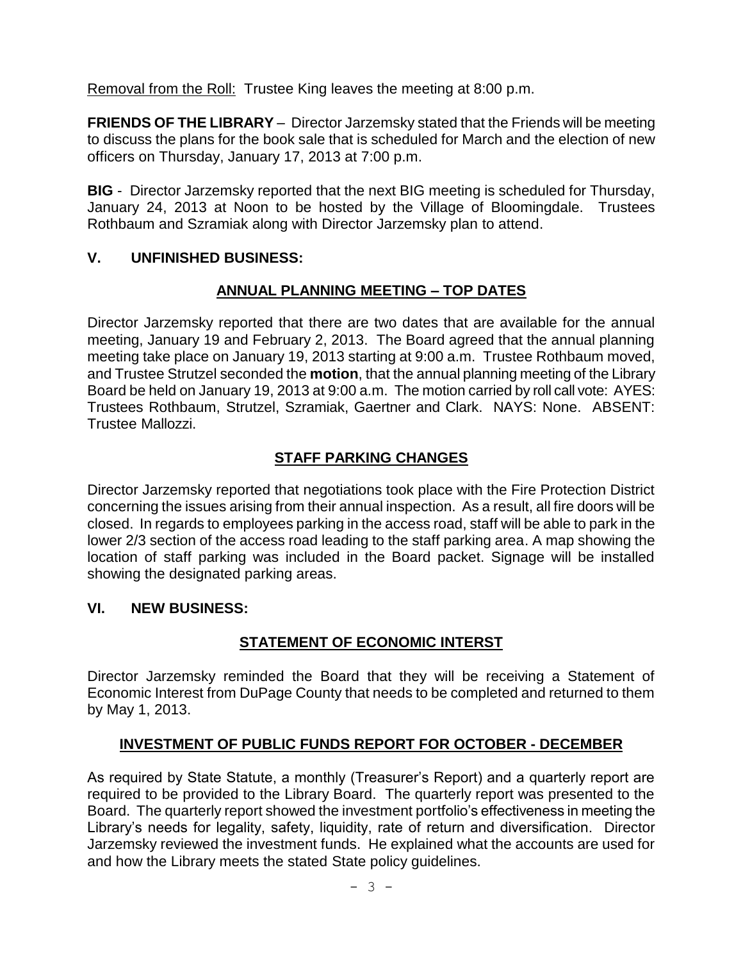Removal from the Roll: Trustee King leaves the meeting at 8:00 p.m.

**FRIENDS OF THE LIBRARY** – Director Jarzemsky stated that the Friends will be meeting to discuss the plans for the book sale that is scheduled for March and the election of new officers on Thursday, January 17, 2013 at 7:00 p.m.

**BIG** - Director Jarzemsky reported that the next BIG meeting is scheduled for Thursday, January 24, 2013 at Noon to be hosted by the Village of Bloomingdale. Trustees Rothbaum and Szramiak along with Director Jarzemsky plan to attend.

# **V. UNFINISHED BUSINESS:**

# **ANNUAL PLANNING MEETING – TOP DATES**

Director Jarzemsky reported that there are two dates that are available for the annual meeting, January 19 and February 2, 2013. The Board agreed that the annual planning meeting take place on January 19, 2013 starting at 9:00 a.m. Trustee Rothbaum moved, and Trustee Strutzel seconded the **motion**, that the annual planning meeting of the Library Board be held on January 19, 2013 at 9:00 a.m. The motion carried by roll call vote: AYES: Trustees Rothbaum, Strutzel, Szramiak, Gaertner and Clark. NAYS: None. ABSENT: Trustee Mallozzi.

# **STAFF PARKING CHANGES**

Director Jarzemsky reported that negotiations took place with the Fire Protection District concerning the issues arising from their annual inspection. As a result, all fire doors will be closed. In regards to employees parking in the access road, staff will be able to park in the lower 2/3 section of the access road leading to the staff parking area. A map showing the location of staff parking was included in the Board packet. Signage will be installed showing the designated parking areas.

## **VI. NEW BUSINESS:**

# **STATEMENT OF ECONOMIC INTERST**

Director Jarzemsky reminded the Board that they will be receiving a Statement of Economic Interest from DuPage County that needs to be completed and returned to them by May 1, 2013.

# **INVESTMENT OF PUBLIC FUNDS REPORT FOR OCTOBER - DECEMBER**

As required by State Statute, a monthly (Treasurer's Report) and a quarterly report are required to be provided to the Library Board. The quarterly report was presented to the Board. The quarterly report showed the investment portfolio's effectiveness in meeting the Library's needs for legality, safety, liquidity, rate of return and diversification. Director Jarzemsky reviewed the investment funds. He explained what the accounts are used for and how the Library meets the stated State policy guidelines.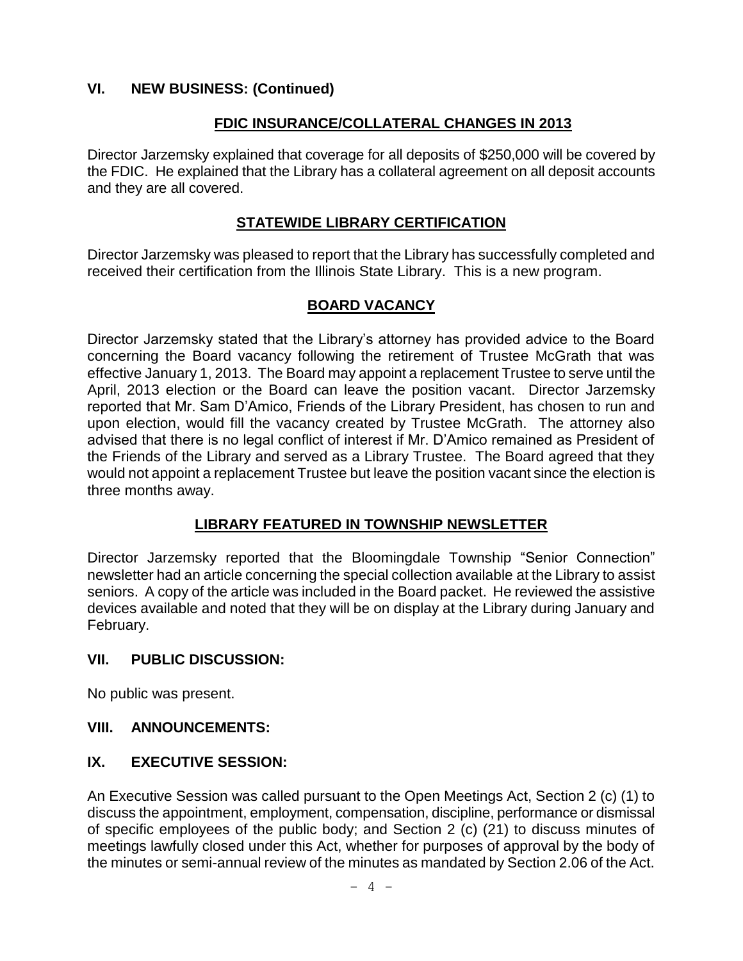## **VI. NEW BUSINESS: (Continued)**

### **FDIC INSURANCE/COLLATERAL CHANGES IN 2013**

Director Jarzemsky explained that coverage for all deposits of \$250,000 will be covered by the FDIC. He explained that the Library has a collateral agreement on all deposit accounts and they are all covered.

## **STATEWIDE LIBRARY CERTIFICATION**

Director Jarzemsky was pleased to report that the Library has successfully completed and received their certification from the Illinois State Library. This is a new program.

## **BOARD VACANCY**

Director Jarzemsky stated that the Library's attorney has provided advice to the Board concerning the Board vacancy following the retirement of Trustee McGrath that was effective January 1, 2013. The Board may appoint a replacement Trustee to serve until the April, 2013 election or the Board can leave the position vacant. Director Jarzemsky reported that Mr. Sam D'Amico, Friends of the Library President, has chosen to run and upon election, would fill the vacancy created by Trustee McGrath. The attorney also advised that there is no legal conflict of interest if Mr. D'Amico remained as President of the Friends of the Library and served as a Library Trustee. The Board agreed that they would not appoint a replacement Trustee but leave the position vacant since the election is three months away.

## **LIBRARY FEATURED IN TOWNSHIP NEWSLETTER**

Director Jarzemsky reported that the Bloomingdale Township "Senior Connection" newsletter had an article concerning the special collection available at the Library to assist seniors. A copy of the article was included in the Board packet. He reviewed the assistive devices available and noted that they will be on display at the Library during January and February.

#### **VII. PUBLIC DISCUSSION:**

No public was present.

#### **VIII. ANNOUNCEMENTS:**

### **IX. EXECUTIVE SESSION:**

An Executive Session was called pursuant to the Open Meetings Act, Section 2 (c) (1) to discuss the appointment, employment, compensation, discipline, performance or dismissal of specific employees of the public body; and Section 2 (c) (21) to discuss minutes of meetings lawfully closed under this Act, whether for purposes of approval by the body of the minutes or semi-annual review of the minutes as mandated by Section 2.06 of the Act.